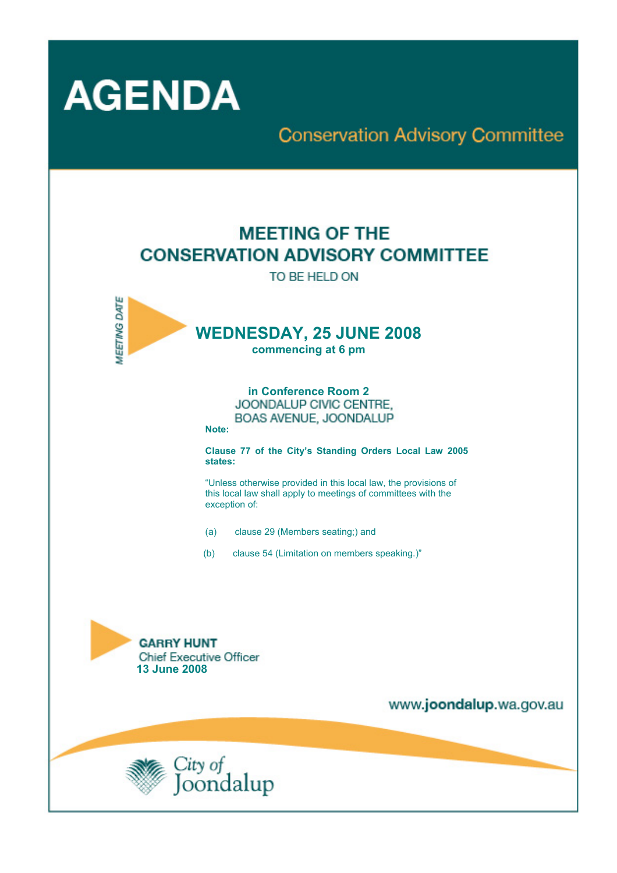

# **Conservation Advisory Committee**

# **MEETING OF THE CONSERVATION ADVISORY COMMITTEE**

TO BE HELD ON



**in Conference Room 2**  BOAS AVENUE, JOONDALUP

**Note:** 

**Clause 77 of the City's Standing Orders Local Law 2005 states:** 

"Unless otherwise provided in this local law, the provisions of this local law shall apply to meetings of committees with the exception of:

- (a) clause 29 (Members seating;) and
- (b) clause 54 (Limitation on members speaking.)"



www.joondalup.wa.gov.au

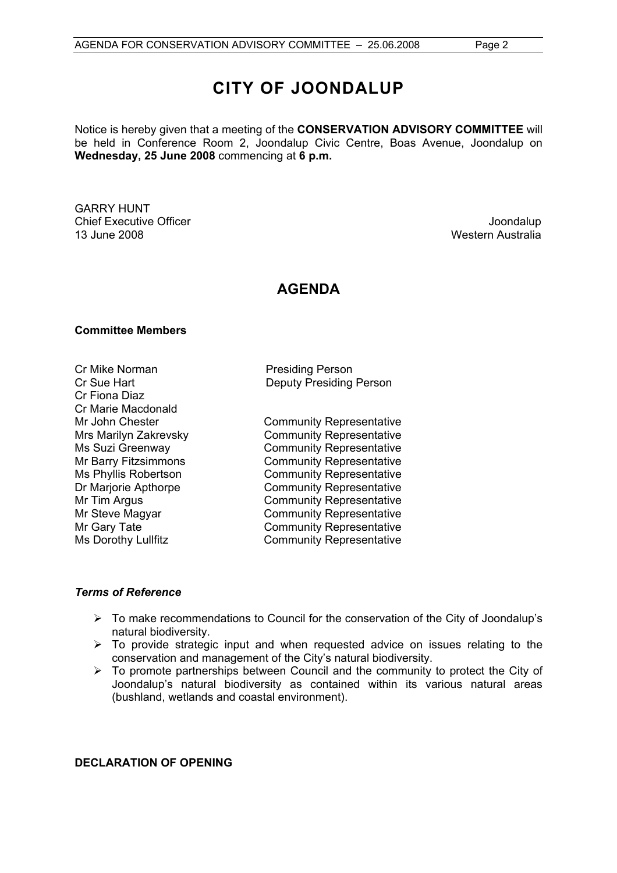# **CITY OF JOONDALUP**

Notice is hereby given that a meeting of the **CONSERVATION ADVISORY COMMITTEE** will be held in Conference Room 2, Joondalup Civic Centre, Boas Avenue, Joondalup on **Wednesday, 25 June 2008** commencing at **6 p.m.** 

GARRY HUNT **Chief Executive Officer Chief Executive Officer Joondalup** 13 June 2008 Western Australia

# **AGENDA**

#### **Committee Members**

Cr Mike Norman **Presiding Person** Cr Fiona Diaz Cr Marie Macdonald

Cr Sue Hart Deputy Presiding Person

Mr John Chester **Community Representative** Mrs Marilyn Zakrevsky Community Representative Ms Suzi Greenway **Community Representative**<br>Mr Barry Fitzsimmons **Community Representative** Community Representative Ms Phyllis Robertson Community Representative Dr Marjorie Apthorpe Community Representative Mr Tim Argus **Community Representative** Mr Steve Magyar **Community Representative** Mr Gary Tate **Community Representative** Ms Dorothy Lullfitz Community Representative

#### *Terms of Reference*

- $\triangleright$  To make recommendations to Council for the conservation of the City of Joondalup's natural biodiversity.
- $\triangleright$  To provide strategic input and when requested advice on issues relating to the conservation and management of the City's natural biodiversity.
- ¾ To promote partnerships between Council and the community to protect the City of Joondalup's natural biodiversity as contained within its various natural areas (bushland, wetlands and coastal environment).

#### **DECLARATION OF OPENING**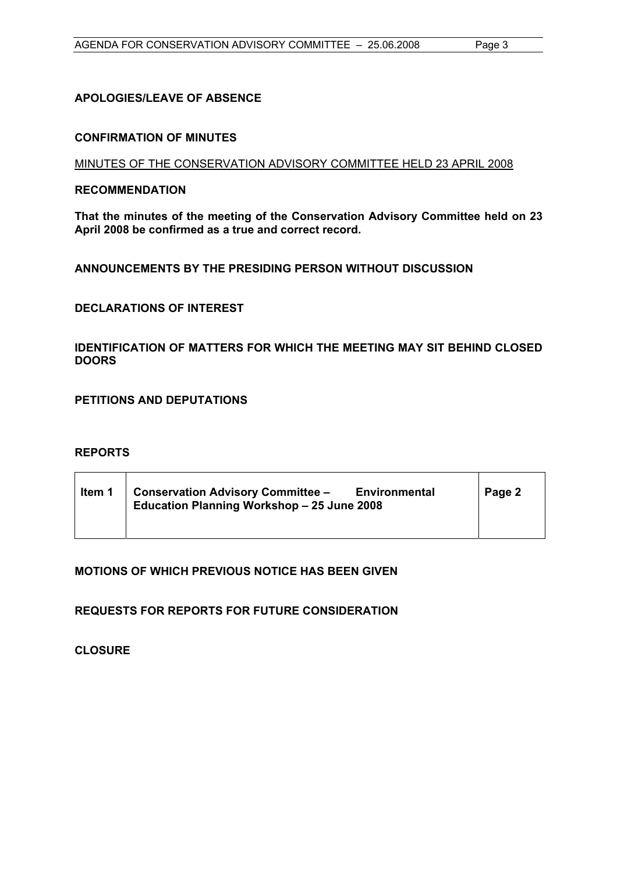## **APOLOGIES/LEAVE OF ABSENCE**

#### **CONFIRMATION OF MINUTES**

MINUTES OF THE CONSERVATION ADVISORY COMMITTEE HELD 23 APRIL 2008

#### **RECOMMENDATION**

**That the minutes of the meeting of the Conservation Advisory Committee held on 23 April 2008 be confirmed as a true and correct record.** 

### **ANNOUNCEMENTS BY THE PRESIDING PERSON WITHOUT DISCUSSION**

## **DECLARATIONS OF INTEREST**

### **IDENTIFICATION OF MATTERS FOR WHICH THE MEETING MAY SIT BEHIND CLOSED DOORS**

**PETITIONS AND DEPUTATIONS** 

### **REPORTS**

| Item 1 | <b>Conservation Advisory Committee -</b><br><b>Environmental</b><br>Education Planning Workshop - 25 June 2008 | Page 2 |
|--------|----------------------------------------------------------------------------------------------------------------|--------|
|        |                                                                                                                |        |

### **MOTIONS OF WHICH PREVIOUS NOTICE HAS BEEN GIVEN**

**REQUESTS FOR REPORTS FOR FUTURE CONSIDERATION** 

**CLOSURE**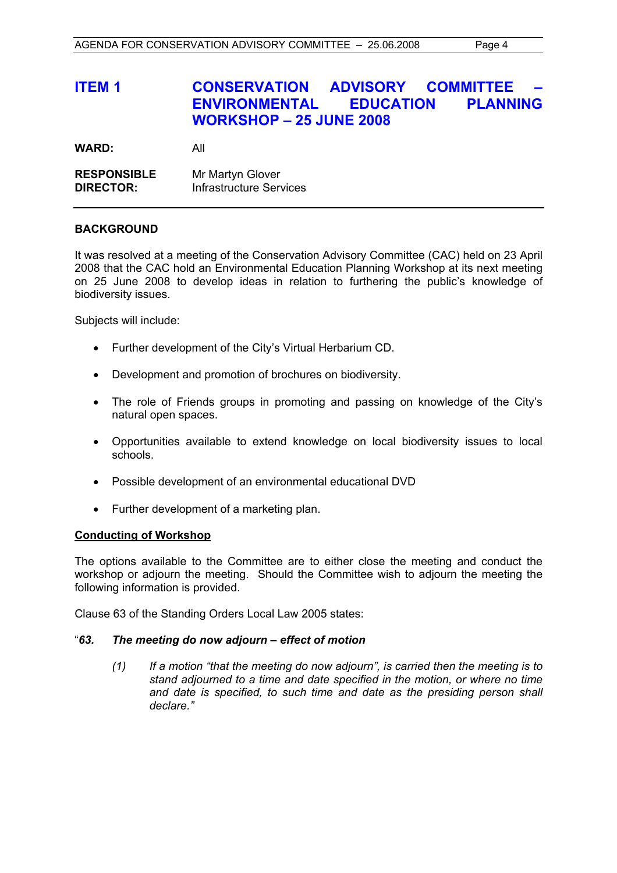# **ITEM 1 CONSERVATION ADVISORY COMMITTEE ENVIRONMENTAL EDUCATION PLANNING WORKSHOP – 25 JUNE 2008**

**WARD:** All

**RESPONSIBLE** Mr Martyn Glover **DIRECTOR:** Infrastructure Services

#### **BACKGROUND**

It was resolved at a meeting of the Conservation Advisory Committee (CAC) held on 23 April 2008 that the CAC hold an Environmental Education Planning Workshop at its next meeting on 25 June 2008 to develop ideas in relation to furthering the public's knowledge of biodiversity issues.

Subjects will include:

- Further development of the City's Virtual Herbarium CD.
- Development and promotion of brochures on biodiversity.
- The role of Friends groups in promoting and passing on knowledge of the City's natural open spaces.
- Opportunities available to extend knowledge on local biodiversity issues to local schools.
- Possible development of an environmental educational DVD
- Further development of a marketing plan.

#### **Conducting of Workshop**

The options available to the Committee are to either close the meeting and conduct the workshop or adjourn the meeting. Should the Committee wish to adjourn the meeting the following information is provided.

Clause 63 of the Standing Orders Local Law 2005 states:

#### "*63. The meeting do now adjourn – effect of motion*

*(1) If a motion "that the meeting do now adjourn", is carried then the meeting is to stand adjourned to a time and date specified in the motion, or where no time*  and date is specified, to such time and date as the presiding person shall *declare."*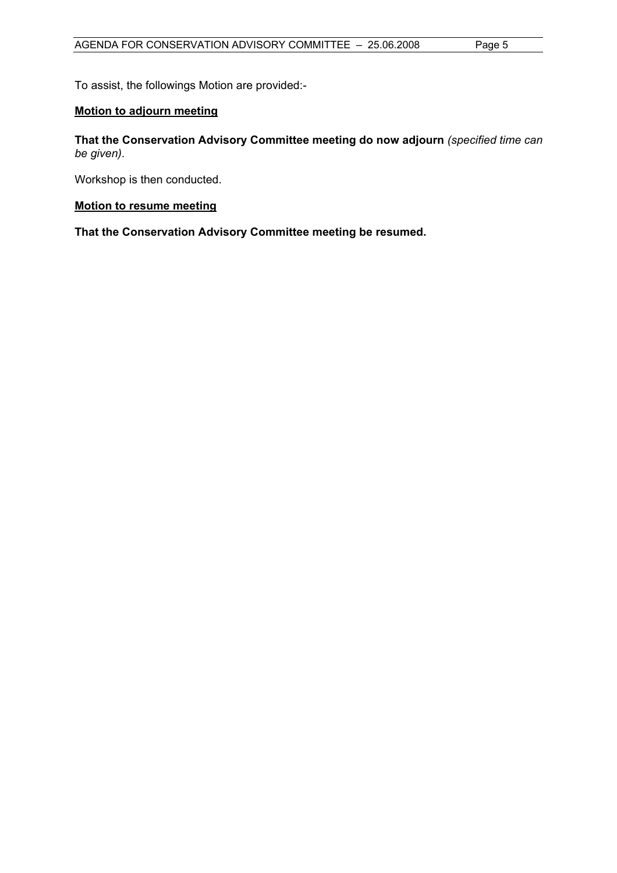To assist, the followings Motion are provided:-

#### **Motion to adjourn meeting**

**That the Conservation Advisory Committee meeting do now adjourn** *(specified time can be given)*.

Workshop is then conducted.

#### **Motion to resume meeting**

**That the Conservation Advisory Committee meeting be resumed.**